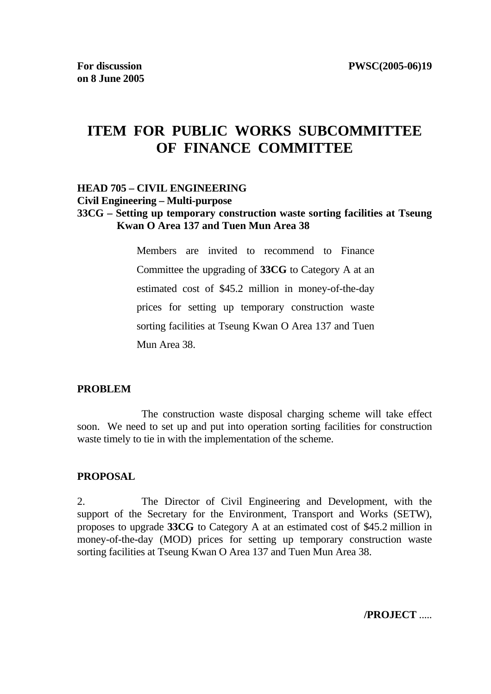# **ITEM FOR PUBLIC WORKS SUBCOMMITTEE OF FINANCE COMMITTEE**

# **HEAD 705 – CIVIL ENGINEERING Civil Engineering – Multi-purpose**

#### **33CG – Setting up temporary construction waste sorting facilities at Tseung Kwan O Area 137 and Tuen Mun Area 38**

 Members are invited to recommend to Finance Committee the upgrading of **33CG** to Category A at an estimated cost of \$45.2 million in money-of-the-day prices for setting up temporary construction waste sorting facilities at Tseung Kwan O Area 137 and Tuen Mun Area 38.

#### **PROBLEM**

 The construction waste disposal charging scheme will take effect soon. We need to set up and put into operation sorting facilities for construction waste timely to tie in with the implementation of the scheme.

#### **PROPOSAL**

2. The Director of Civil Engineering and Development, with the support of the Secretary for the Environment, Transport and Works (SETW), proposes to upgrade **33CG** to Category A at an estimated cost of \$45.2 million in money-of-the-day (MOD) prices for setting up temporary construction waste sorting facilities at Tseung Kwan O Area 137 and Tuen Mun Area 38.

**/PROJECT** .....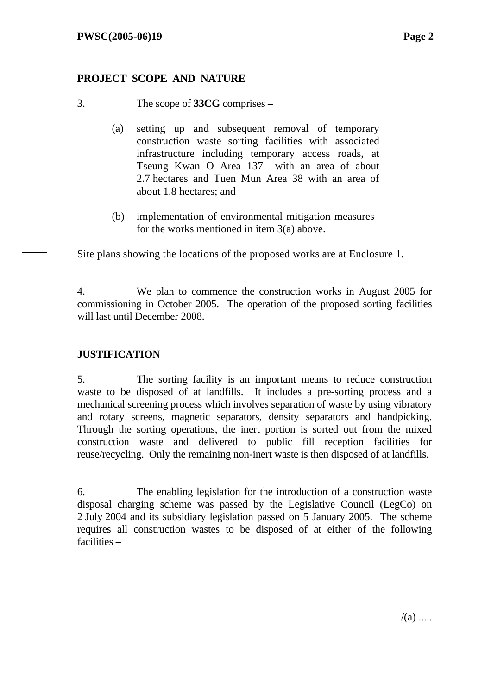## **PROJECT SCOPE AND NATURE**

- 3. The scope of **33CG** comprises 
	- (a) setting up and subsequent removal of temporary construction waste sorting facilities with associated infrastructure including temporary access roads, at Tseung Kwan O Area 137 with an area of about 2.7 hectares and Tuen Mun Area 38 with an area of about 1.8 hectares; and
	- (b) implementation of environmental mitigation measures for the works mentioned in item 3(a) above.

Site plans showing the locations of the proposed works are at Enclosure 1.

4. We plan to commence the construction works in August 2005 for commissioning in October 2005. The operation of the proposed sorting facilities will last until December 2008.

# **JUSTIFICATION**

5. The sorting facility is an important means to reduce construction waste to be disposed of at landfills. It includes a pre-sorting process and a mechanical screening process which involves separation of waste by using vibratory and rotary screens, magnetic separators, density separators and handpicking. Through the sorting operations, the inert portion is sorted out from the mixed construction waste and delivered to public fill reception facilities for reuse/recycling. Only the remaining non-inert waste is then disposed of at landfills.

6. The enabling legislation for the introduction of a construction waste disposal charging scheme was passed by the Legislative Council (LegCo) on 2 July 2004 and its subsidiary legislation passed on 5 January 2005. The scheme requires all construction wastes to be disposed of at either of the following facilities –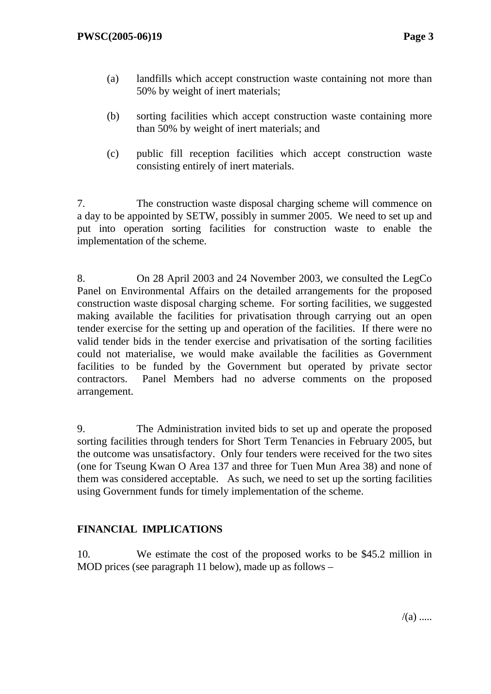- (a) landfills which accept construction waste containing not more than 50% by weight of inert materials;
- (b) sorting facilities which accept construction waste containing more than 50% by weight of inert materials; and
- (c) public fill reception facilities which accept construction waste consisting entirely of inert materials.

7. The construction waste disposal charging scheme will commence on a day to be appointed by SETW, possibly in summer 2005. We need to set up and put into operation sorting facilities for construction waste to enable the implementation of the scheme.

8. On 28 April 2003 and 24 November 2003, we consulted the LegCo Panel on Environmental Affairs on the detailed arrangements for the proposed construction waste disposal charging scheme. For sorting facilities, we suggested making available the facilities for privatisation through carrying out an open tender exercise for the setting up and operation of the facilities. If there were no valid tender bids in the tender exercise and privatisation of the sorting facilities could not materialise, we would make available the facilities as Government facilities to be funded by the Government but operated by private sector contractors. Panel Members had no adverse comments on the proposed arrangement.

9. The Administration invited bids to set up and operate the proposed sorting facilities through tenders for Short Term Tenancies in February 2005, but the outcome was unsatisfactory. Only four tenders were received for the two sites (one for Tseung Kwan O Area 137 and three for Tuen Mun Area 38) and none of them was considered acceptable. As such, we need to set up the sorting facilities using Government funds for timely implementation of the scheme.

## **FINANCIAL IMPLICATIONS**

10. We estimate the cost of the proposed works to be \$45.2 million in MOD prices (see paragraph 11 below), made up as follows –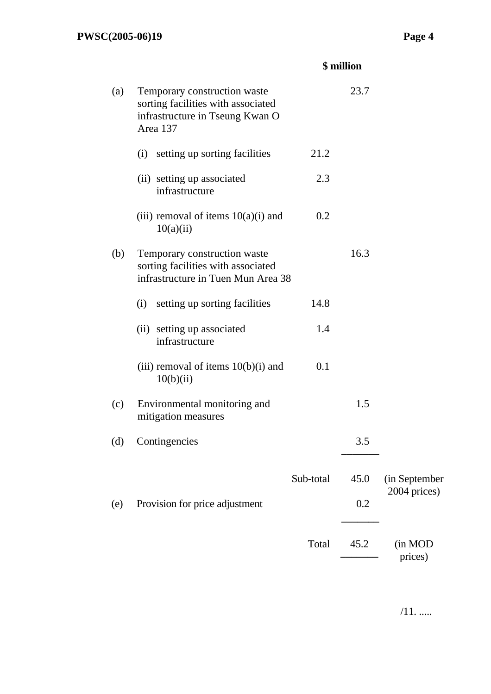|  | \$ million |
|--|------------|
|--|------------|

| (a) | Temporary construction waste<br>sorting facilities with associated<br>infrastructure in Tseung Kwan O<br>Area 137 |           | 23.7 |                    |
|-----|-------------------------------------------------------------------------------------------------------------------|-----------|------|--------------------|
|     | setting up sorting facilities<br>(i)                                                                              | 21.2      |      |                    |
|     | (ii) setting up associated<br>infrastructure                                                                      | 2.3       |      |                    |
|     | (iii) removal of items $10(a)(i)$ and<br>10(a)(ii)                                                                | 0.2       |      |                    |
| (b) | Temporary construction waste<br>sorting facilities with associated<br>infrastructure in Tuen Mun Area 38          |           | 16.3 |                    |
|     | setting up sorting facilities<br>(i)                                                                              | 14.8      |      |                    |
|     | (ii) setting up associated<br>infrastructure                                                                      | 1.4       |      |                    |
|     | (iii) removal of items $10(b)(i)$ and<br>10(b)(ii)                                                                | 0.1       |      |                    |
| (c) | Environmental monitoring and<br>mitigation measures                                                               |           | 1.5  |                    |
| (d) | Contingencies                                                                                                     |           | 3.5  |                    |
|     |                                                                                                                   | Sub-total | 45.0 | (in September      |
| (e) | Provision for price adjustment                                                                                    |           | 0.2  | 2004 prices)       |
|     |                                                                                                                   | Total     | 45.2 | (in MOD<br>prices) |

 $/11. \dots$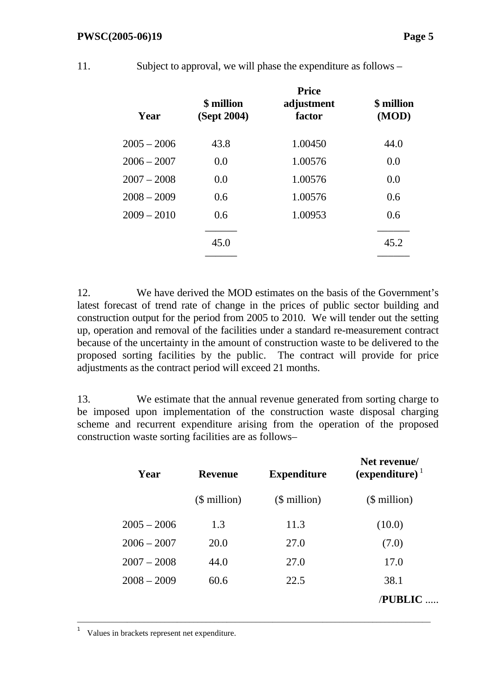11. Subject to approval, we will phase the expenditure as follows –

| Year          | \$ million<br>(Sept 2004) | <b>Price</b><br>adjustment<br>factor | <b>\$</b> million<br>(MOD) |
|---------------|---------------------------|--------------------------------------|----------------------------|
| $2005 - 2006$ | 43.8                      | 1.00450                              | 44.0                       |
| $2006 - 2007$ | 0.0                       | 1.00576                              | 0.0                        |
| $2007 - 2008$ | 0.0                       | 1.00576                              | 0.0                        |
| $2008 - 2009$ | 0.6                       | 1.00576                              | 0.6                        |
| $2009 - 2010$ | 0.6                       | 1.00953                              | 0.6                        |
|               | 45.0                      |                                      | 45.2                       |

12. We have derived the MOD estimates on the basis of the Government's latest forecast of trend rate of change in the prices of public sector building and construction output for the period from 2005 to 2010. We will tender out the setting up, operation and removal of the facilities under a standard re-measurement contract because of the uncertainty in the amount of construction waste to be delivered to the proposed sorting facilities by the public. The contract will provide for price adjustments as the contract period will exceed 21 months.

13. We estimate that the annual revenue generated from sorting charge to be imposed upon implementation of the construction waste disposal charging scheme and recurrent expenditure arising from the operation of the proposed construction waste sorting facilities are as follows–

| Year          | <b>Revenue</b> | <b>Expenditure</b> | Net revenue/<br>$(expenditure)^{\perp}$ |  |
|---------------|----------------|--------------------|-----------------------------------------|--|
|               | $$$ million)   | $$$ million)       | $$$ million)                            |  |
| $2005 - 2006$ | 1.3            | 11.3               | (10.0)                                  |  |
| $2006 - 2007$ | 20.0           | 27.0               | (7.0)                                   |  |
| $2007 - 2008$ | 44.0           | 27.0               | 17.0                                    |  |
| $2008 - 2009$ | 60.6           | 22.5               | 38.1                                    |  |
|               |                |                    | <b>PUBLIC</b>                           |  |

–––––––––––––––––––––––––––––––––––––––––––––––––––––––––––––––––––––––––––––––––––––

1 Values in brackets represent net expenditure.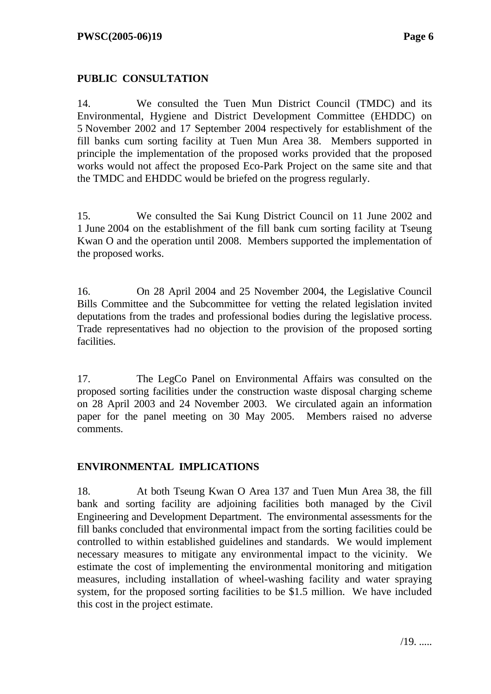#### **PUBLIC CONSULTATION**

14. We consulted the Tuen Mun District Council (TMDC) and its Environmental, Hygiene and District Development Committee (EHDDC) on 5 November 2002 and 17 September 2004 respectively for establishment of the fill banks cum sorting facility at Tuen Mun Area 38. Members supported in principle the implementation of the proposed works provided that the proposed works would not affect the proposed Eco-Park Project on the same site and that the TMDC and EHDDC would be briefed on the progress regularly.

15. We consulted the Sai Kung District Council on 11 June 2002 and 1 June 2004 on the establishment of the fill bank cum sorting facility at Tseung Kwan O and the operation until 2008. Members supported the implementation of the proposed works.

16. On 28 April 2004 and 25 November 2004, the Legislative Council Bills Committee and the Subcommittee for vetting the related legislation invited deputations from the trades and professional bodies during the legislative process. Trade representatives had no objection to the provision of the proposed sorting facilities.

17. The LegCo Panel on Environmental Affairs was consulted on the proposed sorting facilities under the construction waste disposal charging scheme on 28 April 2003 and 24 November 2003. We circulated again an information paper for the panel meeting on 30 May 2005. Members raised no adverse comments.

#### **ENVIRONMENTAL IMPLICATIONS**

18. At both Tseung Kwan O Area 137 and Tuen Mun Area 38, the fill bank and sorting facility are adjoining facilities both managed by the Civil Engineering and Development Department. The environmental assessments for the fill banks concluded that environmental impact from the sorting facilities could be controlled to within established guidelines and standards. We would implement necessary measures to mitigate any environmental impact to the vicinity. We estimate the cost of implementing the environmental monitoring and mitigation measures, including installation of wheel-washing facility and water spraying system, for the proposed sorting facilities to be \$1.5 million. We have included this cost in the project estimate.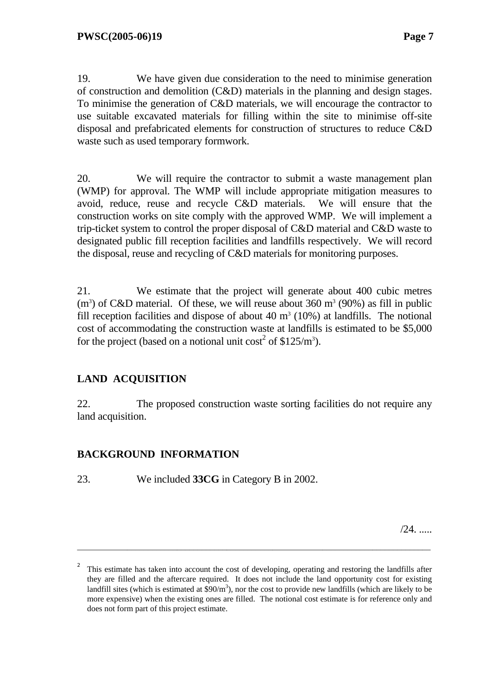19. We have given due consideration to the need to minimise generation of construction and demolition (C&D) materials in the planning and design stages. To minimise the generation of C&D materials, we will encourage the contractor to use suitable excavated materials for filling within the site to minimise off-site disposal and prefabricated elements for construction of structures to reduce C&D waste such as used temporary formwork.

20. We will require the contractor to submit a waste management plan (WMP) for approval. The WMP will include appropriate mitigation measures to avoid, reduce, reuse and recycle C&D materials. We will ensure that the construction works on site comply with the approved WMP. We will implement a trip-ticket system to control the proper disposal of C&D material and C&D waste to designated public fill reception facilities and landfills respectively. We will record the disposal, reuse and recycling of C&D materials for monitoring purposes.

21. We estimate that the project will generate about 400 cubic metres  $(m<sup>3</sup>)$  of C&D material. Of these, we will reuse about 360 m<sup>3</sup> (90%) as fill in public fill reception facilities and dispose of about  $40 \text{ m}^3$  (10%) at landfills. The notional cost of accommodating the construction waste at landfills is estimated to be \$5,000 for the project (based on a notional unit cost<sup>2</sup> of \$125/m<sup>3</sup>).

## **LAND ACQUISITION**

22. The proposed construction waste sorting facilities do not require any land acquisition.

## **BACKGROUND INFORMATION**

23. We included **33CG** in Category B in 2002.

/24. .....

–––––––––––––––––––––––––––––––––––––––––––––––––––––––––––––––––––––––––––––––––––––

<sup>2</sup> This estimate has taken into account the cost of developing, operating and restoring the landfills after they are filled and the aftercare required. It does not include the land opportunity cost for existing landfill sites (which is estimated at  $$90/m<sup>3</sup>$ ), nor the cost to provide new landfills (which are likely to be more expensive) when the existing ones are filled. The notional cost estimate is for reference only and does not form part of this project estimate.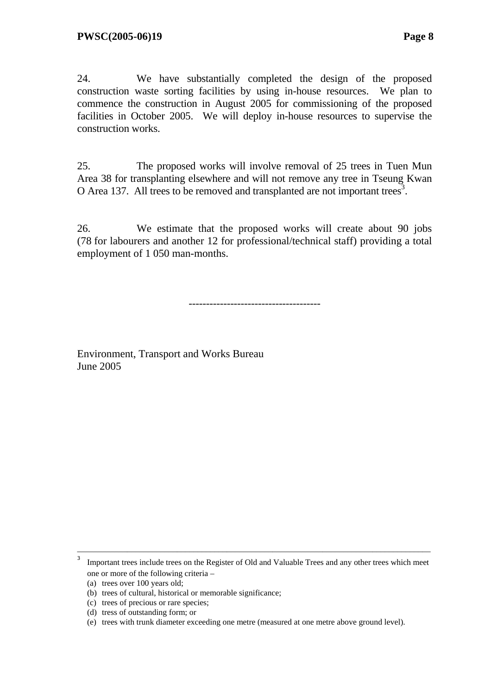24. We have substantially completed the design of the proposed construction waste sorting facilities by using in-house resources. We plan to commence the construction in August 2005 for commissioning of the proposed facilities in October 2005. We will deploy in-house resources to supervise the construction works.

25. The proposed works will involve removal of 25 trees in Tuen Mun Area 38 for transplanting elsewhere and will not remove any tree in Tseung Kwan O Area 137. All trees to be removed and transplanted are not important trees<sup>3</sup>.

26. We estimate that the proposed works will create about 90 jobs (78 for labourers and another 12 for professional/technical staff) providing a total employment of 1 050 man-months.

--------------------------------------

Environment, Transport and Works Bureau June 2005

––––––––––––––––––––––––––––––––––––––––––––––––––––––––––––––––––––––––––––––––––––– 3 Important trees include trees on the Register of Old and Valuable Trees and any other trees which meet one or more of the following criteria –

 <sup>(</sup>a) trees over 100 years old;

<sup>(</sup>b) trees of cultural, historical or memorable significance;

<sup>(</sup>c) trees of precious or rare species;

<sup>(</sup>d) tress of outstanding form; or

<sup>(</sup>e) trees with trunk diameter exceeding one metre (measured at one metre above ground level).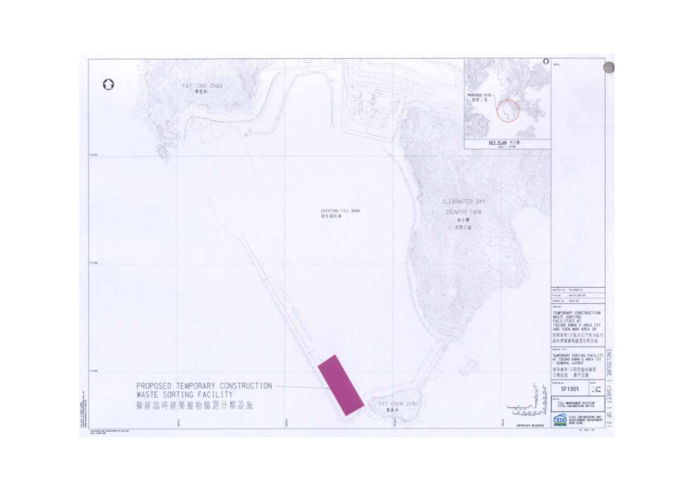